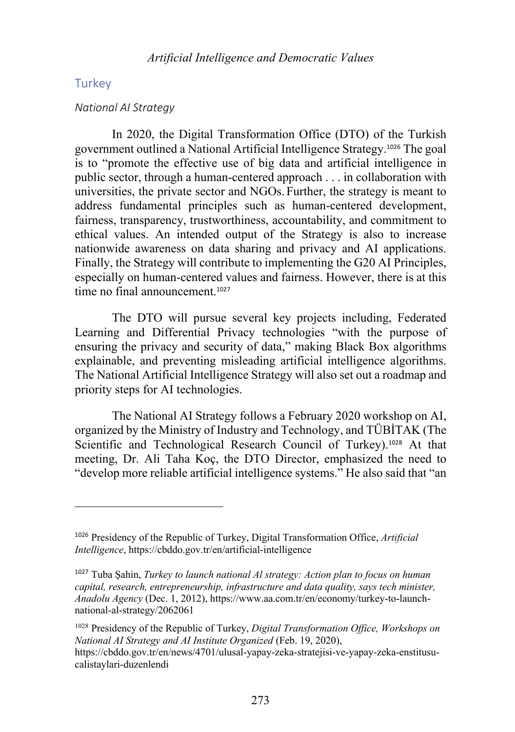## **Turkey**

### *National AI Strategy*

In 2020, the Digital Transformation Office (DTO) of the Turkish government outlined a National Artificial Intelligence Strategy. <sup>1026</sup> The goal is to "promote the effective use of big data and artificial intelligence in public sector, through a human-centered approach . . . in collaboration with universities, the private sector and NGOs. Further, the strategy is meant to address fundamental principles such as human-centered development, fairness, transparency, trustworthiness, accountability, and commitment to ethical values. An intended output of the Strategy is also to increase nationwide awareness on data sharing and privacy and AI applications. Finally, the Strategy will contribute to implementing the G20 AI Principles, especially on human-centered values and fairness. However, there is at this time no final announcement.<sup>1027</sup>

The DTO will pursue several key projects including, Federated Learning and Differential Privacy technologies "with the purpose of ensuring the privacy and security of data," making Black Box algorithms explainable, and preventing misleading artificial intelligence algorithms. The National Artificial Intelligence Strategy will also set out a roadmap and priority steps for AI technologies.

The National AI Strategy follows a February 2020 workshop on AI, organized by the Ministry of Industry and Technology, and TÜBİTAK (The Scientific and Technological Research Council of Turkey).<sup>1028</sup> At that meeting, Dr. Ali Taha Koç, the DTO Director, emphasized the need to "develop more reliable artificial intelligence systems." He also said that "an

<sup>1026</sup> Presidency of the Republic of Turkey, Digital Transformation Office, *Artificial Intelligence*, https://cbddo.gov.tr/en/artificial-intelligence

<sup>1027</sup> Tuba Şahin, *Turkey to launch national Al strategy: Action plan to focus on human capital, research, entrepreneurship, infrastructure and data quality, says tech minister, Anadolu Agency* (Dec. 1, 2012), https://www.aa.com.tr/en/economy/turkey-to-launchnational-al-strategy/2062061

<sup>1028</sup> Presidency of the Republic of Turkey, *Digital Transformation Office, Workshops on National AI Strategy and AI Institute Organized* (Feb. 19, 2020), https://cbddo.gov.tr/en/news/4701/ulusal-yapay-zeka-stratejisi-ve-yapay-zeka-enstitusucalistaylari-duzenlendi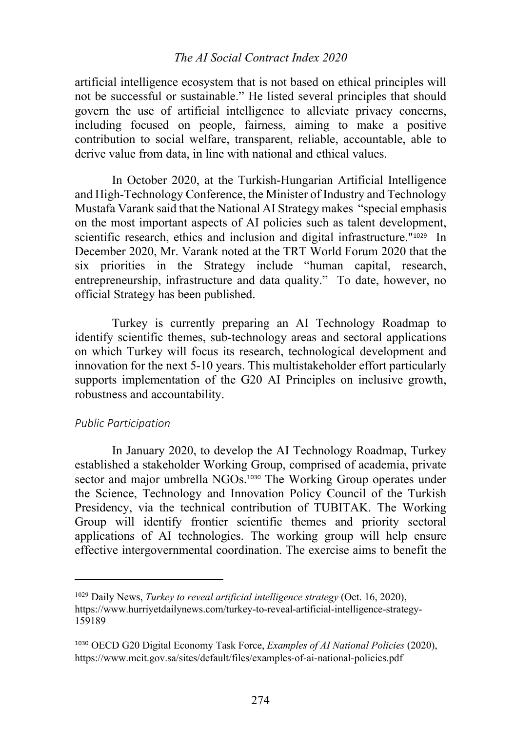## *The AI Social Contract Index 2020*

artificial intelligence ecosystem that is not based on ethical principles will not be successful or sustainable." He listed several principles that should govern the use of artificial intelligence to alleviate privacy concerns, including focused on people, fairness, aiming to make a positive contribution to social welfare, transparent, reliable, accountable, able to derive value from data, in line with national and ethical values.

In October 2020, at the Turkish-Hungarian Artificial Intelligence and High-Technology Conference, the Minister of Industry and Technology Mustafa Varank said that the National AI Strategy makes "special emphasis on the most important aspects of AI policies such as talent development, scientific research, ethics and inclusion and digital infrastructure."<sup>1029</sup> In December 2020, Mr. Varank noted at the TRT World Forum 2020 that the six priorities in the Strategy include "human capital, research, entrepreneurship, infrastructure and data quality." To date, however, no official Strategy has been published.

Turkey is currently preparing an AI Technology Roadmap to identify scientific themes, sub-technology areas and sectoral applications on which Turkey will focus its research, technological development and innovation for the next 5-10 years. This multistakeholder effort particularly supports implementation of the G20 AI Principles on inclusive growth, robustness and accountability.

## *Public Participation*

In January 2020, to develop the AI Technology Roadmap, Turkey established a stakeholder Working Group, comprised of academia, private sector and major umbrella NGOs.<sup>1030</sup> The Working Group operates under the Science, Technology and Innovation Policy Council of the Turkish Presidency, via the technical contribution of TUBITAK. The Working Group will identify frontier scientific themes and priority sectoral applications of AI technologies. The working group will help ensure effective intergovernmental coordination. The exercise aims to benefit the

<sup>1029</sup> Daily News, *Turkey to reveal artificial intelligence strategy* (Oct. 16, 2020), https://www.hurriyetdailynews.com/turkey-to-reveal-artificial-intelligence-strategy-159189

<sup>1030</sup> OECD G20 Digital Economy Task Force, *Examples of AI National Policies* (2020), https://www.mcit.gov.sa/sites/default/files/examples-of-ai-national-policies.pdf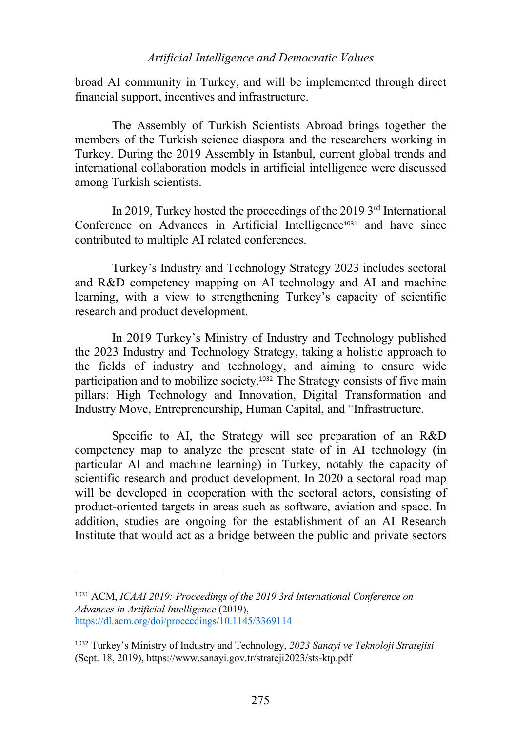## *Artificial Intelligence and Democratic Values*

broad AI community in Turkey, and will be implemented through direct financial support, incentives and infrastructure.

The Assembly of Turkish Scientists Abroad brings together the members of the Turkish science diaspora and the researchers working in Turkey. During the 2019 Assembly in Istanbul, current global trends and international collaboration models in artificial intelligence were discussed among Turkish scientists.

In 2019, Turkey hosted the proceedings of the 2019 3<sup>rd</sup> International Conference on Advances in Artificial Intelligence<sup>1031</sup> and have since contributed to multiple AI related conferences.

Turkey's Industry and Technology Strategy 2023 includes sectoral and R&D competency mapping on AI technology and AI and machine learning, with a view to strengthening Turkey's capacity of scientific research and product development.

In 2019 Turkey's Ministry of Industry and Technology published the 2023 Industry and Technology Strategy, taking a holistic approach to the fields of industry and technology, and aiming to ensure wide participation and to mobilize society.<sup>1032</sup> The Strategy consists of five main pillars: High Technology and Innovation, Digital Transformation and Industry Move, Entrepreneurship, Human Capital, and "Infrastructure.

Specific to AI, the Strategy will see preparation of an R&D competency map to analyze the present state of in AI technology (in particular AI and machine learning) in Turkey, notably the capacity of scientific research and product development. In 2020 a sectoral road map will be developed in cooperation with the sectoral actors, consisting of product-oriented targets in areas such as software, aviation and space. In addition, studies are ongoing for the establishment of an AI Research Institute that would act as a bridge between the public and private sectors

<sup>1031</sup> ACM, *ICAAI 2019: Proceedings of the 2019 3rd International Conference on Advances in Artificial Intelligence* (2019), https://dl.acm.org/doi/proceedings/10.1145/3369114

<sup>1032</sup> Turkey's Ministry of Industry and Technology, *2023 Sanayi ve Teknoloji Stratejisi*  (Sept. 18, 2019), https://www.sanayi.gov.tr/strateji2023/sts-ktp.pdf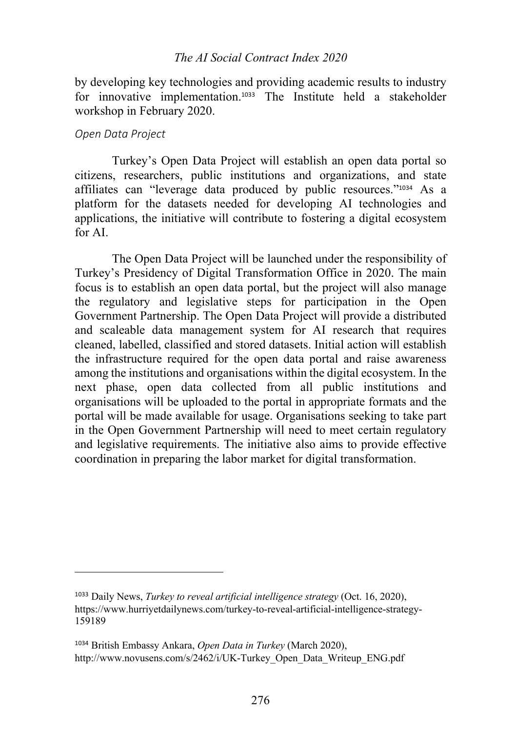## *The AI Social Contract Index 2020*

by developing key technologies and providing academic results to industry for innovative implementation.<sup>1033</sup> The Institute held a stakeholder workshop in February 2020.

## *Open Data Project*

Turkey's Open Data Project will establish an open data portal so citizens, researchers, public institutions and organizations, and state affiliates can "leverage data produced by public resources."<sup>1034</sup> As a platform for the datasets needed for developing AI technologies and applications, the initiative will contribute to fostering a digital ecosystem for AI.

The Open Data Project will be launched under the responsibility of Turkey's Presidency of Digital Transformation Office in 2020. The main focus is to establish an open data portal, but the project will also manage the regulatory and legislative steps for participation in the Open Government Partnership. The Open Data Project will provide a distributed and scaleable data management system for AI research that requires cleaned, labelled, classified and stored datasets. Initial action will establish the infrastructure required for the open data portal and raise awareness among the institutions and organisations within the digital ecosystem. In the next phase, open data collected from all public institutions and organisations will be uploaded to the portal in appropriate formats and the portal will be made available for usage. Organisations seeking to take part in the Open Government Partnership will need to meet certain regulatory and legislative requirements. The initiative also aims to provide effective coordination in preparing the labor market for digital transformation.

<sup>1033</sup> Daily News, *Turkey to reveal artificial intelligence strategy* (Oct. 16, 2020), https://www.hurriyetdailynews.com/turkey-to-reveal-artificial-intelligence-strategy-159189

<sup>1034</sup> British Embassy Ankara, *Open Data in Turkey* (March 2020), http://www.novusens.com/s/2462/i/UK-Turkey\_Open\_Data\_Writeup\_ENG.pdf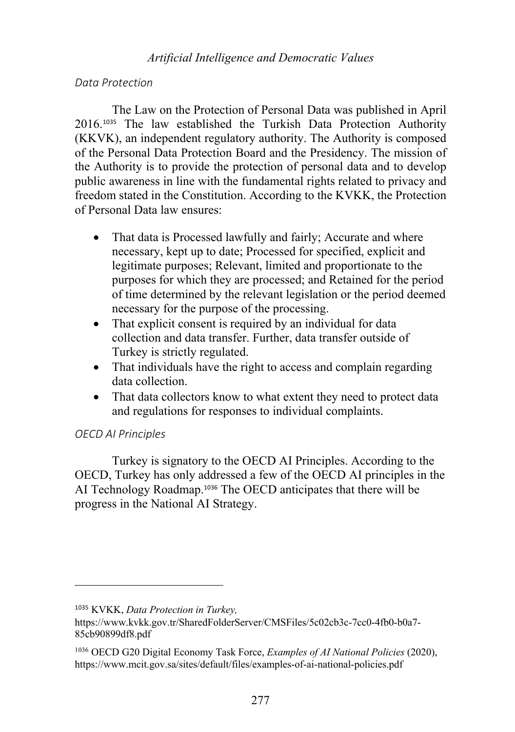## *Artificial Intelligence and Democratic Values*

## *Data Protection*

The Law on the Protection of Personal Data was published in April 2016.<sup>1035</sup> The law established the Turkish Data Protection Authority (KKVK), an independent regulatory authority. The Authority is composed of the Personal Data Protection Board and the Presidency. The mission of the Authority is to provide the protection of personal data and to develop public awareness in line with the fundamental rights related to privacy and freedom stated in the Constitution. According to the KVKK, the Protection of Personal Data law ensures:

- That data is Processed lawfully and fairly; Accurate and where necessary, kept up to date; Processed for specified, explicit and legitimate purposes; Relevant, limited and proportionate to the purposes for which they are processed; and Retained for the period of time determined by the relevant legislation or the period deemed necessary for the purpose of the processing.
- That explicit consent is required by an individual for data collection and data transfer. Further, data transfer outside of Turkey is strictly regulated.
- That individuals have the right to access and complain regarding data collection.
- That data collectors know to what extent they need to protect data and regulations for responses to individual complaints.

## *OECD AI Principles*

Turkey is signatory to the OECD AI Principles. According to the OECD, Turkey has only addressed a few of the OECD AI principles in the AI Technology Roadmap.<sup>1036</sup> The OECD anticipates that there will be progress in the National AI Strategy.

<sup>1035</sup> KVKK, *Data Protection in Turkey,* 

https://www.kvkk.gov.tr/SharedFolderServer/CMSFiles/5c02cb3c-7cc0-4fb0-b0a7- 85cb90899df8.pdf

<sup>1036</sup> OECD G20 Digital Economy Task Force, *Examples of AI National Policies* (2020), https://www.mcit.gov.sa/sites/default/files/examples-of-ai-national-policies.pdf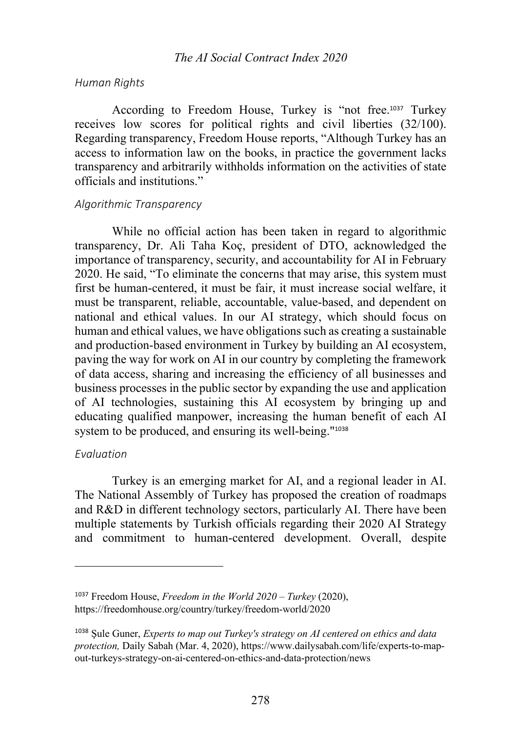#### *Human Rights*

According to Freedom House, Turkey is "not free.<sup>1037</sup> Turkey receives low scores for political rights and civil liberties (32/100). Regarding transparency, Freedom House reports, "Although Turkey has an access to information law on the books, in practice the government lacks transparency and arbitrarily withholds information on the activities of state officials and institutions."

#### *Algorithmic Transparency*

While no official action has been taken in regard to algorithmic transparency, Dr. Ali Taha Koç, president of DTO, acknowledged the importance of transparency, security, and accountability for AI in February 2020. He said, "To eliminate the concerns that may arise, this system must first be human-centered, it must be fair, it must increase social welfare, it must be transparent, reliable, accountable, value-based, and dependent on national and ethical values. In our AI strategy, which should focus on human and ethical values, we have obligations such as creating a sustainable and production-based environment in Turkey by building an AI ecosystem, paving the way for work on AI in our country by completing the framework of data access, sharing and increasing the efficiency of all businesses and business processes in the public sector by expanding the use and application of AI technologies, sustaining this AI ecosystem by bringing up and educating qualified manpower, increasing the human benefit of each AI system to be produced, and ensuring its well-being."<sup>1038</sup>

## *Evaluation*

Turkey is an emerging market for AI, and a regional leader in AI. The National Assembly of Turkey has proposed the creation of roadmaps and R&D in different technology sectors, particularly AI. There have been multiple statements by Turkish officials regarding their 2020 AI Strategy and commitment to human-centered development. Overall, despite

<sup>1037</sup> Freedom House, *Freedom in the World 2020 – Turkey* (2020), https://freedomhouse.org/country/turkey/freedom-world/2020

<sup>1038</sup> Şule Guner, *Experts to map out Turkey's strategy on AI centered on ethics and data protection,* Daily Sabah (Mar. 4, 2020), https://www.dailysabah.com/life/experts-to-mapout-turkeys-strategy-on-ai-centered-on-ethics-and-data-protection/news